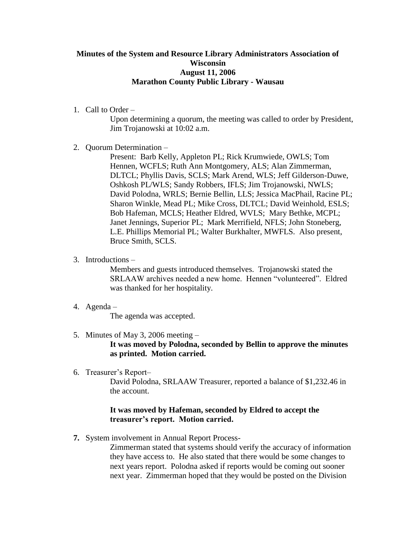# **Minutes of the System and Resource Library Administrators Association of Wisconsin August 11, 2006 Marathon County Public Library - Wausau**

1. Call to Order –

Upon determining a quorum, the meeting was called to order by President, Jim Trojanowski at 10:02 a.m.

2. Quorum Determination –

Present: Barb Kelly, Appleton PL; Rick Krumwiede, OWLS; Tom Hennen, WCFLS; Ruth Ann Montgomery, ALS; Alan Zimmerman, DLTCL; Phyllis Davis, SCLS; Mark Arend, WLS; Jeff Gilderson-Duwe, Oshkosh PL/WLS; Sandy Robbers, IFLS; Jim Trojanowski, NWLS; David Polodna, WRLS; Bernie Bellin, LLS; Jessica MacPhail, Racine PL; Sharon Winkle, Mead PL; Mike Cross, DLTCL; David Weinhold, ESLS; Bob Hafeman, MCLS; Heather Eldred, WVLS; Mary Bethke, MCPL; Janet Jennings, Superior PL; Mark Merrifield, NFLS; John Stoneberg, L.E. Phillips Memorial PL; Walter Burkhalter, MWFLS. Also present, Bruce Smith, SCLS.

3. Introductions –

Members and guests introduced themselves. Trojanowski stated the SRLAAW archives needed a new home. Hennen "volunteered". Eldred was thanked for her hospitality.

4. Agenda –

The agenda was accepted.

5. Minutes of May 3, 2006 meeting –

**It was moved by Polodna, seconded by Bellin to approve the minutes as printed. Motion carried.**

6. Treasurer's Report–

David Polodna, SRLAAW Treasurer, reported a balance of \$1,232.46 in the account.

## **It was moved by Hafeman, seconded by Eldred to accept the treasurer's report. Motion carried.**

**7.** System involvement in Annual Report Process-

Zimmerman stated that systems should verify the accuracy of information they have access to. He also stated that there would be some changes to next years report. Polodna asked if reports would be coming out sooner next year. Zimmerman hoped that they would be posted on the Division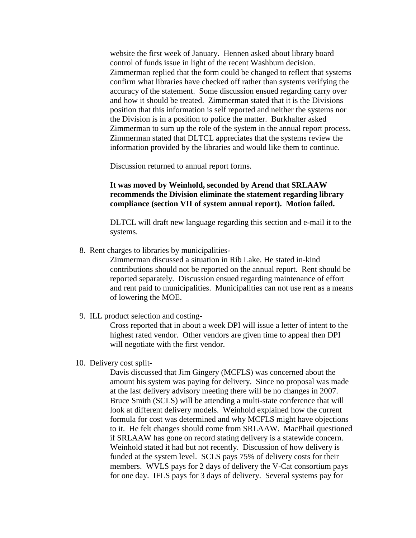website the first week of January. Hennen asked about library board control of funds issue in light of the recent Washburn decision. Zimmerman replied that the form could be changed to reflect that systems confirm what libraries have checked off rather than systems verifying the accuracy of the statement. Some discussion ensued regarding carry over and how it should be treated. Zimmerman stated that it is the Divisions position that this information is self reported and neither the systems nor the Division is in a position to police the matter. Burkhalter asked Zimmerman to sum up the role of the system in the annual report process. Zimmerman stated that DLTCL appreciates that the systems review the information provided by the libraries and would like them to continue.

Discussion returned to annual report forms.

### **It was moved by Weinhold, seconded by Arend that SRLAAW recommends the Division eliminate the statement regarding library compliance (section VII of system annual report). Motion failed.**

DLTCL will draft new language regarding this section and e-mail it to the systems.

8. Rent charges to libraries by municipalities-

Zimmerman discussed a situation in Rib Lake. He stated in-kind contributions should not be reported on the annual report. Rent should be reported separately. Discussion ensued regarding maintenance of effort and rent paid to municipalities. Municipalities can not use rent as a means of lowering the MOE.

9. ILL product selection and costing-

Cross reported that in about a week DPI will issue a letter of intent to the highest rated vendor. Other vendors are given time to appeal then DPI will negotiate with the first vendor.

10. Delivery cost split-

Davis discussed that Jim Gingery (MCFLS) was concerned about the amount his system was paying for delivery. Since no proposal was made at the last delivery advisory meeting there will be no changes in 2007. Bruce Smith (SCLS) will be attending a multi-state conference that will look at different delivery models. Weinhold explained how the current formula for cost was determined and why MCFLS might have objections to it. He felt changes should come from SRLAAW. MacPhail questioned if SRLAAW has gone on record stating delivery is a statewide concern. Weinhold stated it had but not recently. Discussion of how delivery is funded at the system level. SCLS pays 75% of delivery costs for their members. WVLS pays for 2 days of delivery the V-Cat consortium pays for one day. IFLS pays for 3 days of delivery. Several systems pay for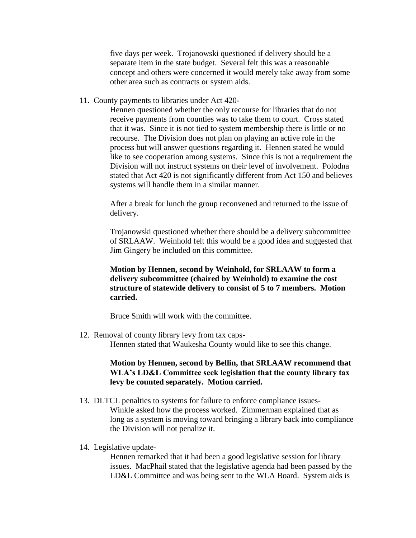five days per week. Trojanowski questioned if delivery should be a separate item in the state budget. Several felt this was a reasonable concept and others were concerned it would merely take away from some other area such as contracts or system aids.

11. County payments to libraries under Act 420-

Hennen questioned whether the only recourse for libraries that do not receive payments from counties was to take them to court. Cross stated that it was. Since it is not tied to system membership there is little or no recourse. The Division does not plan on playing an active role in the process but will answer questions regarding it. Hennen stated he would like to see cooperation among systems. Since this is not a requirement the Division will not instruct systems on their level of involvement. Polodna stated that Act 420 is not significantly different from Act 150 and believes systems will handle them in a similar manner.

 After a break for lunch the group reconvened and returned to the issue of delivery.

Trojanowski questioned whether there should be a delivery subcommittee of SRLAAW. Weinhold felt this would be a good idea and suggested that Jim Gingery be included on this committee.

## **Motion by Hennen, second by Weinhold, for SRLAAW to form a delivery subcommittee (chaired by Weinhold) to examine the cost structure of statewide delivery to consist of 5 to 7 members. Motion carried.**

Bruce Smith will work with the committee.

 12. Removal of county library levy from tax caps-Hennen stated that Waukesha County would like to see this change.

### **Motion by Hennen, second by Bellin, that SRLAAW recommend that WLA's LD&L Committee seek legislation that the county library tax levy be counted separately. Motion carried.**

- 13. DLTCL penalties to systems for failure to enforce compliance issues-Winkle asked how the process worked. Zimmerman explained that as long as a system is moving toward bringing a library back into compliance the Division will not penalize it.
- 14. Legislative update-

Hennen remarked that it had been a good legislative session for library issues. MacPhail stated that the legislative agenda had been passed by the LD&L Committee and was being sent to the WLA Board. System aids is